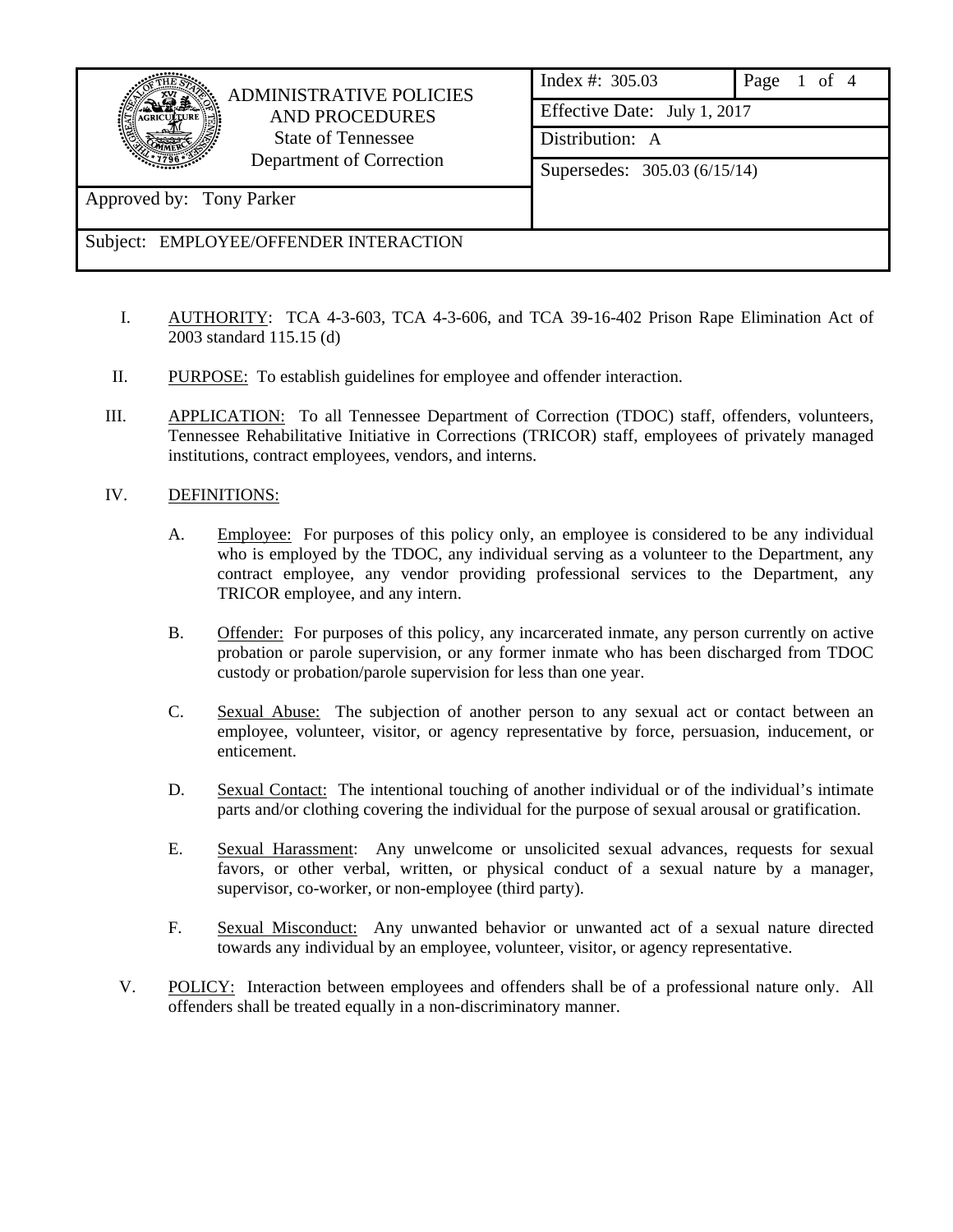

Approved by: Tony Parker

## ADMINISTRATIVE POLICIES AND PROCEDURES State of Tennessee Department of Correction

|  | Index #: 305.03              | Page 1 of 4 |  |
|--|------------------------------|-------------|--|
|  | Effective Date: July 1, 2017 |             |  |
|  | Distribution: A              |             |  |
|  | Supersedes: 305.03 (6/15/14) |             |  |
|  |                              |             |  |
|  |                              |             |  |

Subject: EMPLOYEE/OFFENDER INTERACTION

- I. AUTHORITY: TCA 4-3-603, TCA 4-3-606, and TCA 39-16-402 Prison Rape Elimination Act of 2003 standard 115.15 (d)
- II. PURPOSE: To establish guidelines for employee and offender interaction.
- III. APPLICATION: To all Tennessee Department of Correction (TDOC) staff, offenders, volunteers, Tennessee Rehabilitative Initiative in Corrections (TRICOR) staff, employees of privately managed institutions, contract employees, vendors, and interns.
- IV. DEFINITIONS:
	- A. Employee: For purposes of this policy only, an employee is considered to be any individual who is employed by the TDOC, any individual serving as a volunteer to the Department, any contract employee, any vendor providing professional services to the Department, any TRICOR employee, and any intern.
	- B. Offender: For purposes of this policy, any incarcerated inmate, any person currently on active probation or parole supervision, or any former inmate who has been discharged from TDOC custody or probation/parole supervision for less than one year.
	- C. Sexual Abuse: The subjection of another person to any sexual act or contact between an employee, volunteer, visitor, or agency representative by force, persuasion, inducement, or enticement.
	- D. Sexual Contact: The intentional touching of another individual or of the individual's intimate parts and/or clothing covering the individual for the purpose of sexual arousal or gratification.
	- E. Sexual Harassment: Any unwelcome or unsolicited sexual advances, requests for sexual favors, or other verbal, written, or physical conduct of a sexual nature by a manager, supervisor, co-worker, or non-employee (third party).
	- F. Sexual Misconduct: Any unwanted behavior or unwanted act of a sexual nature directed towards any individual by an employee, volunteer, visitor, or agency representative.
	- V. POLICY: Interaction between employees and offenders shall be of a professional nature only. All offenders shall be treated equally in a non-discriminatory manner.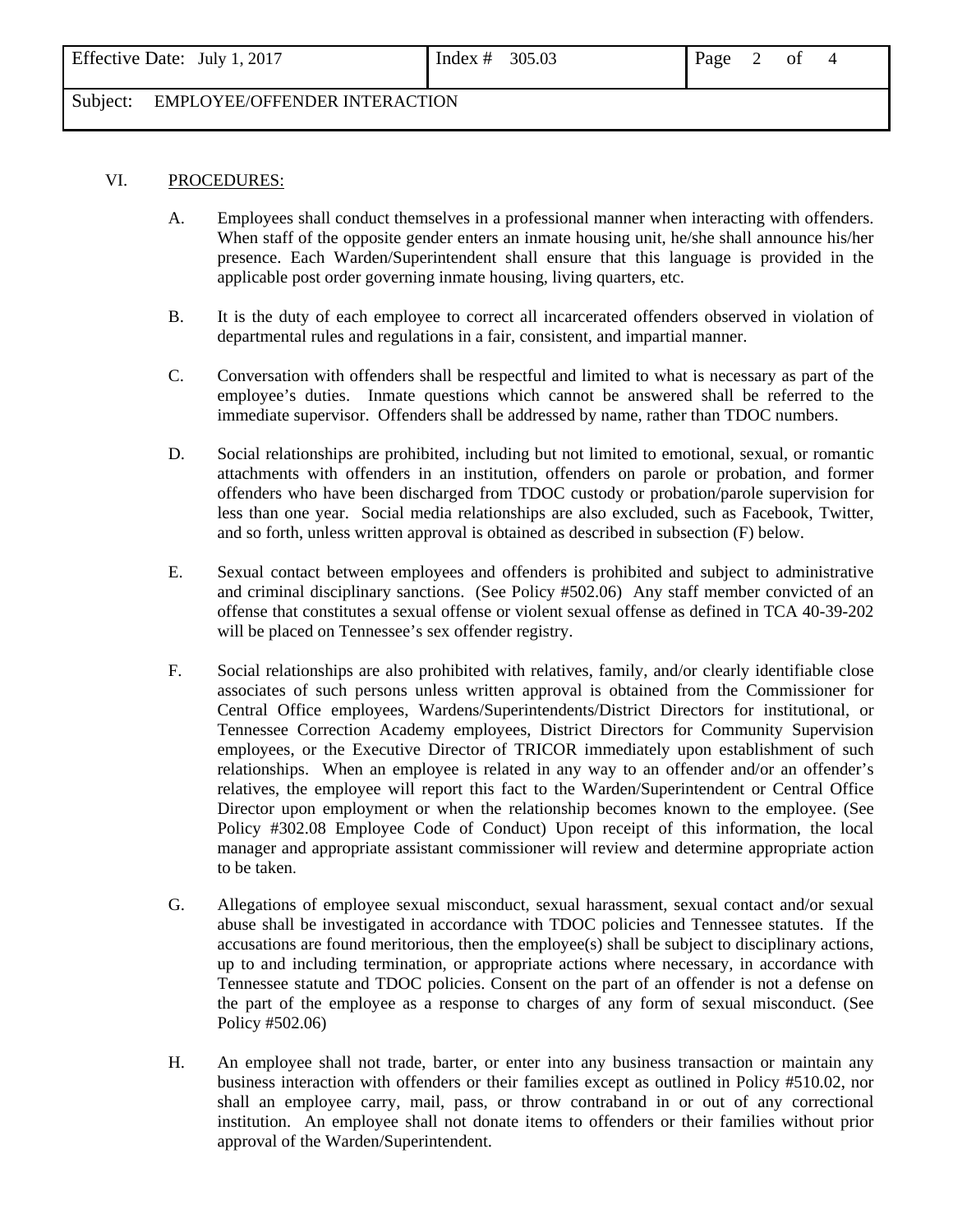## Subject: EMPLOYEE/OFFENDER INTERACTION

## VI. PROCEDURES:

- A. Employees shall conduct themselves in a professional manner when interacting with offenders. When staff of the opposite gender enters an inmate housing unit, he/she shall announce his/her presence. Each Warden/Superintendent shall ensure that this language is provided in the applicable post order governing inmate housing, living quarters, etc.
- B. It is the duty of each employee to correct all incarcerated offenders observed in violation of departmental rules and regulations in a fair, consistent, and impartial manner.
- C. Conversation with offenders shall be respectful and limited to what is necessary as part of the employee's duties. Inmate questions which cannot be answered shall be referred to the immediate supervisor. Offenders shall be addressed by name, rather than TDOC numbers.
- D. Social relationships are prohibited, including but not limited to emotional, sexual, or romantic attachments with offenders in an institution, offenders on parole or probation, and former offenders who have been discharged from TDOC custody or probation/parole supervision for less than one year. Social media relationships are also excluded, such as Facebook, Twitter, and so forth, unless written approval is obtained as described in subsection (F) below.
- E. Sexual contact between employees and offenders is prohibited and subject to administrative and criminal disciplinary sanctions. (See Policy #502.06) Any staff member convicted of an offense that constitutes a sexual offense or violent sexual offense as defined in TCA 40-39-202 will be placed on Tennessee's sex offender registry.
- F. Social relationships are also prohibited with relatives, family, and/or clearly identifiable close associates of such persons unless written approval is obtained from the Commissioner for Central Office employees, Wardens/Superintendents/District Directors for institutional, or Tennessee Correction Academy employees, District Directors for Community Supervision employees, or the Executive Director of TRICOR immediately upon establishment of such relationships. When an employee is related in any way to an offender and/or an offender's relatives, the employee will report this fact to the Warden/Superintendent or Central Office Director upon employment or when the relationship becomes known to the employee. (See Policy #302.08 Employee Code of Conduct) Upon receipt of this information, the local manager and appropriate assistant commissioner will review and determine appropriate action to be taken.
- G. Allegations of employee sexual misconduct, sexual harassment, sexual contact and/or sexual abuse shall be investigated in accordance with TDOC policies and Tennessee statutes. If the accusations are found meritorious, then the employee(s) shall be subject to disciplinary actions, up to and including termination, or appropriate actions where necessary, in accordance with Tennessee statute and TDOC policies. Consent on the part of an offender is not a defense on the part of the employee as a response to charges of any form of sexual misconduct. (See Policy #502.06)
- H. An employee shall not trade, barter, or enter into any business transaction or maintain any business interaction with offenders or their families except as outlined in Policy #510.02, nor shall an employee carry, mail, pass, or throw contraband in or out of any correctional institution. An employee shall not donate items to offenders or their families without prior approval of the Warden/Superintendent.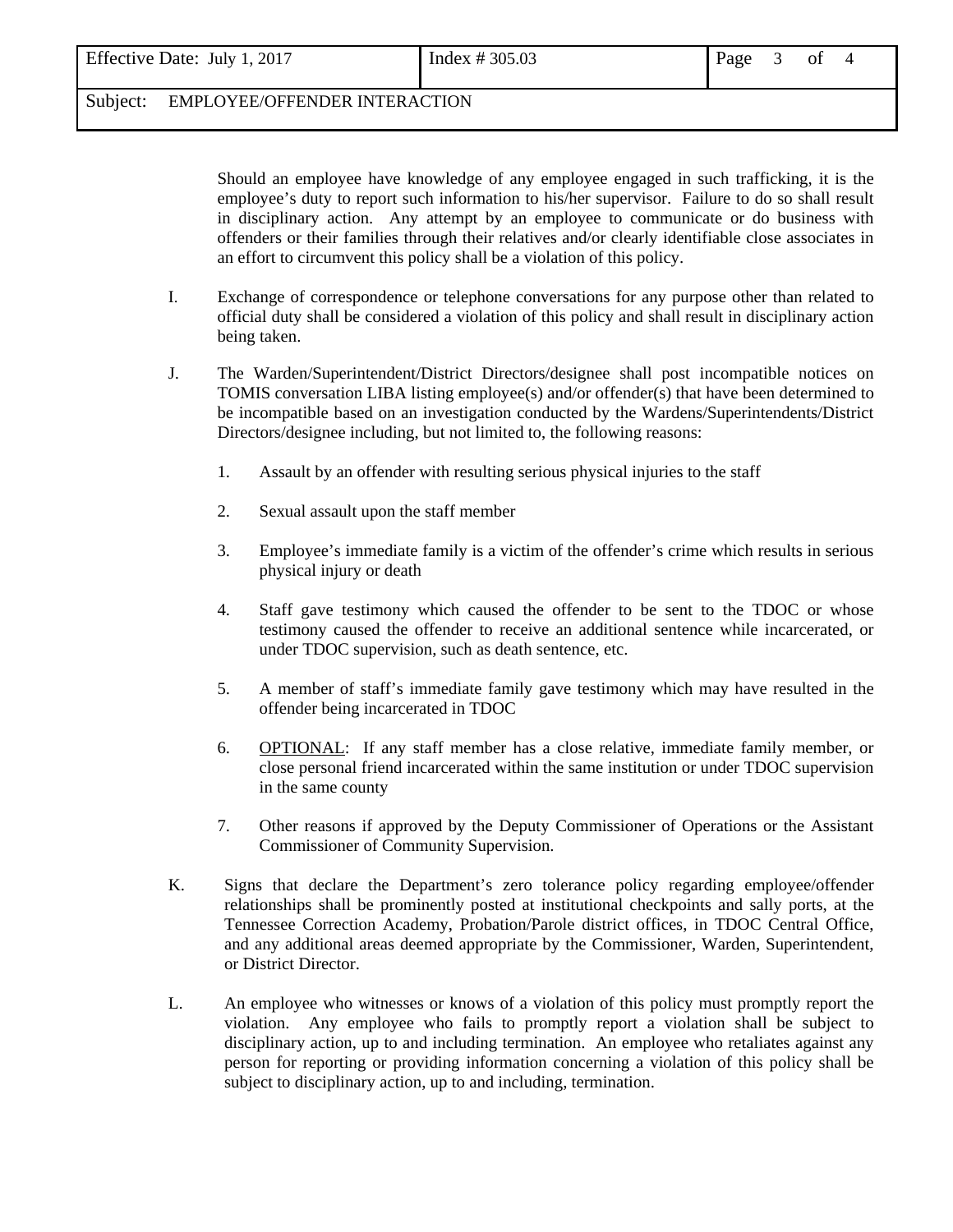## Subject: EMPLOYEE/OFFENDER INTERACTION

 Should an employee have knowledge of any employee engaged in such trafficking, it is the employee's duty to report such information to his/her supervisor. Failure to do so shall result in disciplinary action. Any attempt by an employee to communicate or do business with offenders or their families through their relatives and/or clearly identifiable close associates in an effort to circumvent this policy shall be a violation of this policy.

- I. Exchange of correspondence or telephone conversations for any purpose other than related to official duty shall be considered a violation of this policy and shall result in disciplinary action being taken.
- J. The Warden/Superintendent/District Directors/designee shall post incompatible notices on TOMIS conversation LIBA listing employee(s) and/or offender(s) that have been determined to be incompatible based on an investigation conducted by the Wardens/Superintendents/District Directors/designee including, but not limited to, the following reasons:
	- 1. Assault by an offender with resulting serious physical injuries to the staff
	- 2. Sexual assault upon the staff member
	- 3. Employee's immediate family is a victim of the offender's crime which results in serious physical injury or death
	- 4. Staff gave testimony which caused the offender to be sent to the TDOC or whose testimony caused the offender to receive an additional sentence while incarcerated, or under TDOC supervision, such as death sentence, etc.
	- 5. A member of staff's immediate family gave testimony which may have resulted in the offender being incarcerated in TDOC
	- 6. OPTIONAL: If any staff member has a close relative, immediate family member, or close personal friend incarcerated within the same institution or under TDOC supervision in the same county
	- 7. Other reasons if approved by the Deputy Commissioner of Operations or the Assistant Commissioner of Community Supervision.
- K. Signs that declare the Department's zero tolerance policy regarding employee/offender relationships shall be prominently posted at institutional checkpoints and sally ports, at the Tennessee Correction Academy, Probation/Parole district offices, in TDOC Central Office, and any additional areas deemed appropriate by the Commissioner, Warden, Superintendent, or District Director.
- L. An employee who witnesses or knows of a violation of this policy must promptly report the violation. Any employee who fails to promptly report a violation shall be subject to disciplinary action, up to and including termination. An employee who retaliates against any person for reporting or providing information concerning a violation of this policy shall be subject to disciplinary action, up to and including, termination.